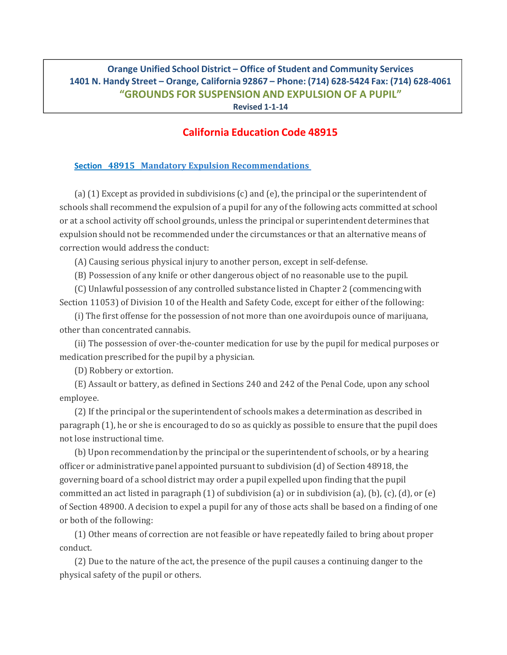## **Orange Unified School District – Office of Student and Community Services 1401 N. Handy Street – Orange, California 92867 – Phone: (714) 628‐5424 Fax: (714) 628‐4061 "GROUNDS FOR SUSPENSION AND EXPULSION OF A PUPIL"**

**Revised 1‐1‐14**

## **California Education Code 48915**

## **Section 48915 Mandatory Expulsion Recommendations**

(a) (1) Except as provided in subdivisions (c) and (e), the principal or the superintendent of schools shall recommend the expulsion of a pupil for any of the following acts committed at school or at a school activity off school grounds, unless the principal or superintendent determines that expulsion should not be recommended under the circumstances or that an alternative means of correction would address the conduct:

(A) Causing serious physical injury to another person, except in self-defense.

(B) Possession of any knife or other dangerous object of no reasonable use to the pupil.

(C) Unlawful possession of any controlled substance listed in Chapter 2 (commencing with Section 11053) of Division 10 of the Health and Safety Code, except for either of the following:

(i) The first offense for the possession of not more than one avoirdupois ounce of marijuana, other than concentrated cannabis.

(ii) The possession of over-the-counter medication for use by the pupil for medical purposes or medication prescribed for the pupil by a physician.

(D) Robbery or extortion.

(E) Assault or battery, as defined in Sections 240 and 242 of the Penal Code, upon any school employee. 

(2) If the principal or the superintendent of schools makes a determination as described in paragraph  $(1)$ , he or she is encouraged to do so as quickly as possible to ensure that the pupil does not lose instructional time.

(b) Upon recommendation by the principal or the superintendent of schools, or by a hearing officer or administrative panel appointed pursuant to subdivision (d) of Section 48918, the governing board of a school district may order a pupil expelled upon finding that the pupil committed an act listed in paragraph  $(1)$  of subdivision  $(a)$  or in subdivision  $(a)$ ,  $(b)$ ,  $(c)$ ,  $(d)$ , or  $(e)$ of Section 48900. A decision to expel a pupil for any of those acts shall be based on a finding of one or both of the following:

(1) Other means of correction are not feasible or have repeatedly failed to bring about proper conduct. 

(2) Due to the nature of the act, the presence of the pupil causes a continuing danger to the physical safety of the pupil or others.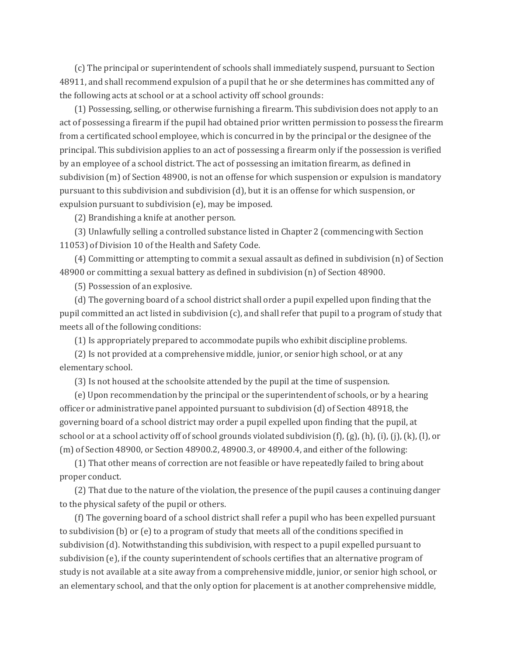(c) The principal or superintendent of schools shall immediately suspend, pursuant to Section 48911, and shall recommend expulsion of a pupil that he or she determines has committed any of the following acts at school or at a school activity off school grounds:

(1) Possessing, selling, or otherwise furnishing a firearm. This subdivision does not apply to an act of possessing a firearm if the pupil had obtained prior written permission to possess the firearm from a certificated school employee, which is concurred in by the principal or the designee of the principal. This subdivision applies to an act of possessing a firearm only if the possession is verified by an employee of a school district. The act of possessing an imitation firearm, as defined in subdivision  $(m)$  of Section 48900, is not an offense for which suspension or expulsion is mandatory pursuant to this subdivision and subdivision (d), but it is an offense for which suspension, or expulsion pursuant to subdivision  $(e)$ , may be imposed.

(2) Brandishing a knife at another person.

(3) Unlawfully selling a controlled substance listed in Chapter 2 (commencing with Section 11053) of Division 10 of the Health and Safety Code.

(4) Committing or attempting to commit a sexual assault as defined in subdivision (n) of Section 48900 or committing a sexual battery as defined in subdivision (n) of Section 48900.

(5) Possession of an explosive.

(d) The governing board of a school district shall order a pupil expelled upon finding that the pupil committed an act listed in subdivision  $(c)$ , and shall refer that pupil to a program of study that meets all of the following conditions:

(1) Is appropriately prepared to accommodate pupils who exhibit discipline problems.

(2) Is not provided at a comprehensive middle, junior, or senior high school, or at any elementary school.

(3) Is not housed at the schoolsite attended by the pupil at the time of suspension.

(e) Upon recommendation by the principal or the superintendent of schools, or by a hearing officer or administrative panel appointed pursuant to subdivision (d) of Section 48918, the governing board of a school district may order a pupil expelled upon finding that the pupil, at school or at a school activity off of school grounds violated subdivision  $(f)$ ,  $(g)$ ,  $(h)$ ,  $(i)$ ,  $(i)$ ,  $(k)$ ,  $(l)$ , or (m) of Section  $48900$ , or Section  $48900.2$ ,  $48900.3$ , or  $48900.4$ , and either of the following:

(1) That other means of correction are not feasible or have repeatedly failed to bring about proper conduct.

(2) That due to the nature of the violation, the presence of the pupil causes a continuing danger to the physical safety of the pupil or others.

(f) The governing board of a school district shall refer a pupil who has been expelled pursuant to subdivision  $(b)$  or  $(e)$  to a program of study that meets all of the conditions specified in subdivision (d). Notwithstanding this subdivision, with respect to a pupil expelled pursuant to subdivision (e), if the county superintendent of schools certifies that an alternative program of study is not available at a site away from a comprehensive middle, junior, or senior high school, or an elementary school, and that the only option for placement is at another comprehensive middle,